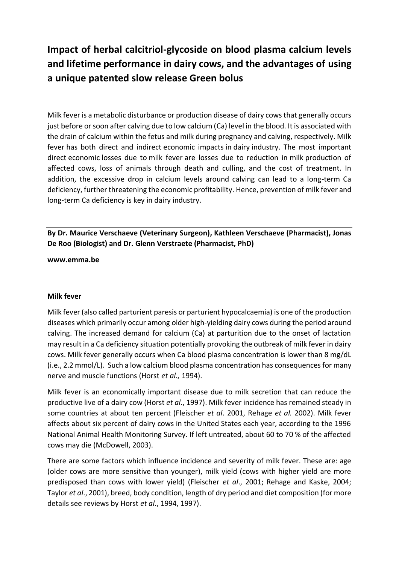# **Impact of herbal calcitriol-glycoside on blood plasma calcium levels and lifetime performance in dairy cows, and the advantages of using a unique patented slow release Green bolus**

Milk fever is a metabolic disturbance or production disease of dairy cows that generally occurs just before or soon after calving due to low calcium (Ca) level in the blood. It is associated with the drain of calcium within the fetus and milk during pregnancy and calving, respectively. Milk fever has both direct and indirect economic impacts in dairy industry. The most important direct economic losses due to milk fever are losses due to reduction in milk production of affected cows, loss of animals through death and culling, and the cost of treatment. In addition, the excessive drop in calcium levels around calving can lead to a long-term Ca deficiency, further threatening the economic profitability. Hence, prevention of milk fever and long-term Ca deficiency is key in dairy industry.

# **By Dr. Maurice Verschaeve (Veterinary Surgeon), Kathleen Verschaeve (Pharmacist), Jonas De Roo (Biologist) and Dr. Glenn Verstraete (Pharmacist, PhD)**

#### **www.emma.be**

#### **Milk fever**

Milk fever (also called parturient paresis or parturient hypocalcaemia) is one of the production diseases which primarily occur among older high-yielding dairy cows during the period around calving. The increased demand for calcium (Ca) at parturition due to the onset of lactation may result in a Ca deficiency situation potentially provoking the outbreak of milk fever in dairy cows. Milk fever generally occurs when Ca blood plasma concentration is lower than 8 mg/dL (i.e., 2.2 mmol/L). Such a low calcium blood plasma concentration has consequences for many nerve and muscle functions (Horst *et al.,* 1994).

Milk fever is an economically important disease due to milk secretion that can reduce the productive live of a dairy cow (Horst *et al*., 1997). Milk fever incidence has remained steady in some countries at about ten percent (Fleischer *et al*. 2001, Rehage *et al.* 2002). Milk fever affects about six percent of dairy cows in the United States each year, according to the 1996 National Animal Health Monitoring Survey. If left untreated, about 60 to 70 % of the affected cows may die (McDowell, 2003).

There are some factors which influence incidence and severity of milk fever. These are: age (older cows are more sensitive than younger), milk yield (cows with higher yield are more predisposed than cows with lower yield) (Fleischer *et al*., 2001; Rehage and Kaske, 2004; Taylor *et al*., 2001), breed, body condition, length of dry period and diet composition (for more details see reviews by Horst *et al*., 1994, 1997).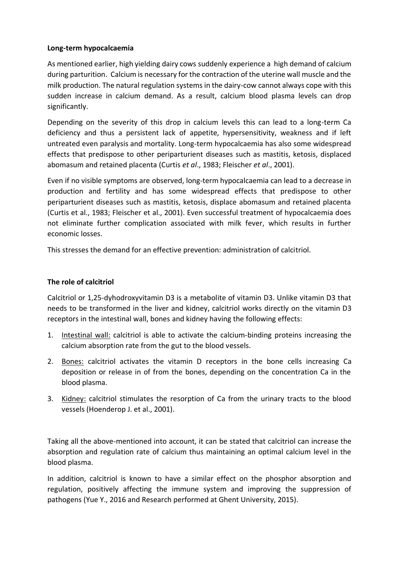# **Long-term hypocalcaemia**

As mentioned earlier, high yielding dairy cows suddenly experience a high demand of calcium during parturition. Calcium is necessary for the contraction of the uterine wall muscle and the milk production. The natural regulation systems in the dairy-cow cannot always cope with this sudden increase in calcium demand. As a result, calcium blood plasma levels can drop significantly.

Depending on the severity of this drop in calcium levels this can lead to a long-term Ca deficiency and thus a persistent lack of appetite, hypersensitivity, weakness and if left untreated even paralysis and mortality. Long-term hypocalcaemia has also some widespread effects that predispose to other periparturient diseases such as mastitis, ketosis, displaced abomasum and retained placenta (Curtis *et al*., 1983; Fleischer *et al*., 2001).

Even if no visible symptoms are observed, long-term hypocalcaemia can lead to a decrease in production and fertility and has some widespread effects that predispose to other periparturient diseases such as mastitis, ketosis, displace abomasum and retained placenta (Curtis et al., 1983; Fleischer et al., 2001). Even successful treatment of hypocalcaemia does not eliminate further complication associated with milk fever, which results in further economic losses.

This stresses the demand for an effective prevention: administration of calcitriol.

### **The role of calcitriol**

Calcitriol or 1,25-dyhodroxyvitamin D3 is a metabolite of vitamin D3. Unlike vitamin D3 that needs to be transformed in the liver and kidney, calcitriol works directly on the vitamin D3 receptors in the intestinal wall, bones and kidney having the following effects:

- 1. Intestinal wall: calcitriol is able to activate the calcium-binding proteins increasing the calcium absorption rate from the gut to the blood vessels.
- 2. Bones: calcitriol activates the vitamin D receptors in the bone cells increasing Ca deposition or release in of from the bones, depending on the concentration Ca in the blood plasma.
- 3. Kidney: calcitriol stimulates the resorption of Ca from the urinary tracts to the blood vessels (Hoenderop J. et al., 2001).

Taking all the above-mentioned into account, it can be stated that calcitriol can increase the absorption and regulation rate of calcium thus maintaining an optimal calcium level in the blood plasma.

In addition, calcitriol is known to have a similar effect on the phosphor absorption and regulation, positively affecting the immune system and improving the suppression of pathogens (Yue Y., 2016 and Research performed at Ghent University, 2015).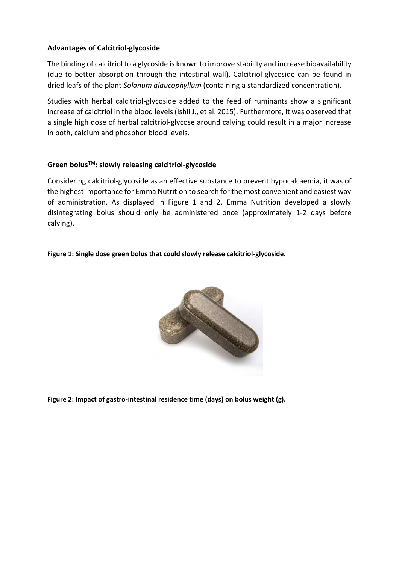# **Advantages of Calcitriol-glycoside**

The binding of calcitriol to a glycoside is known to improve stability and increase bioavailability (due to better absorption through the intestinal wall). Calcitriol-glycoside can be found in dried leafs of the plant *Solanum glaucophyllum* (containing a standardized concentration).

Studies with herbal calcitriol-glycoside added to the feed of ruminants show a significant increase of calcitriol in the blood levels (Ishii J., et al. 2015). Furthermore, it was observed that a single high dose of herbal calcitriol-glycose around calving could result in a major increase in both, calcium and phosphor blood levels.

# **Green bolusTM: slowly releasing calcitriol-glycoside**

Considering calcitriol-glycoside as an effective substance to prevent hypocalcaemia, it was of the highest importance for Emma Nutrition to search for the most convenient and easiest way of administration. As displayed in Figure 1 and 2, Emma Nutrition developed a slowly disintegrating bolus should only be administered once (approximately 1-2 days before calving).

#### **Figure 1: Single dose green bolus that could slowly release calcitriol-glycoside.**



**Figure 2: Impact of gastro-intestinal residence time (days) on bolus weight (g).**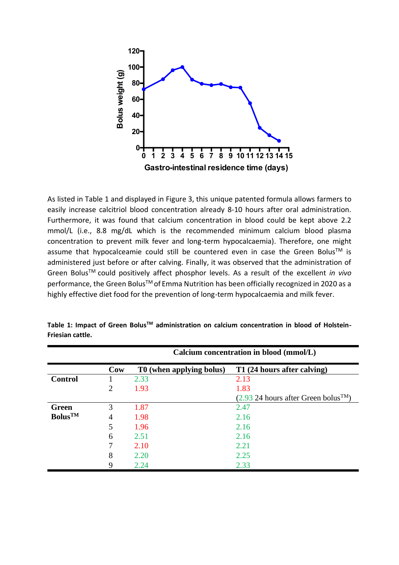

As listed in Table 1 and displayed in Figure 3, this unique patented formula allows farmers to easily increase calcitriol blood concentration already 8-10 hours after oral administration. Furthermore, it was found that calcium concentration in blood could be kept above 2.2 mmol/L (i.e., 8.8 mg/dL which is the recommended minimum calcium blood plasma concentration to prevent milk fever and long-term hypocalcaemia). Therefore, one might assume that hypocalceamie could still be countered even in case the Green Bolus<sup>TM</sup> is administered just before or after calving. Finally, it was observed that the administration of Green BolusTM could positively affect phosphor levels. As a result of the excellent *in vivo*  performance, the Green Bolus™ of Emma Nutrition has been officially recognized in 2020 as a highly effective diet food for the prevention of long-term hypocalcaemia and milk fever.

|                     |                | Calcium concentration in blood (mmol/L) |                                                    |
|---------------------|----------------|-----------------------------------------|----------------------------------------------------|
|                     | Cow            | T0 (when applying bolus)                | T1 (24 hours after calving)                        |
| <b>Control</b>      |                | 2.33                                    | 2.13                                               |
|                     | $\overline{2}$ | 1.93                                    | 1.83                                               |
|                     |                |                                         | $(2.93 24$ hours after Green bolus <sup>TM</sup> ) |
| <b>Green</b>        | 3              | 1.87                                    | 2.47                                               |
| Bolus <sup>TM</sup> | 4              | 1.98                                    | 2.16                                               |
|                     | 5              | 1.96                                    | 2.16                                               |
|                     | 6              | 2.51                                    | 2.16                                               |
|                     |                | 2.10                                    | 2.21                                               |
|                     | 8              | 2.20                                    | 2.25                                               |
|                     | 9              | 2.24                                    | 2.33                                               |

**Table 1: Impact of Green BolusTM administration on calcium concentration in blood of Holstein-Friesian cattle.**